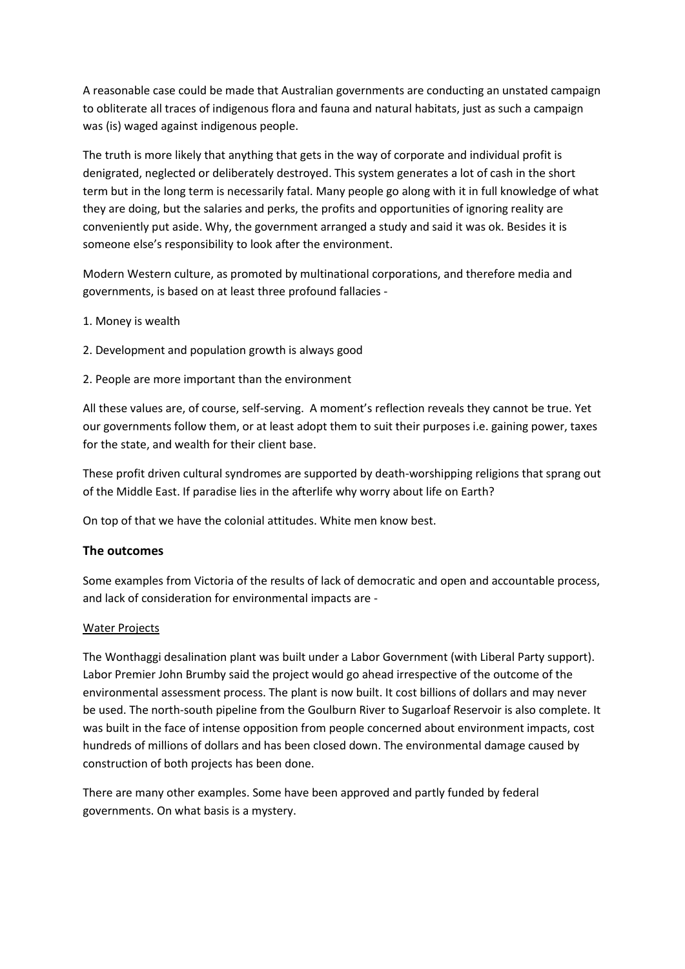A reasonable case could be made that Australian governments are conducting an unstated campaign to obliterate all traces of indigenous flora and fauna and natural habitats, just as such a campaign was (is) waged against indigenous people.

The truth is more likely that anything that gets in the way of corporate and individual profit is denigrated, neglected or deliberately destroyed. This system generates a lot of cash in the short term but in the long term is necessarily fatal. Many people go along with it in full knowledge of what they are doing, but the salaries and perks, the profits and opportunities of ignoring reality are conveniently put aside. Why, the government arranged a study and said it was ok. Besides it is someone else's responsibility to look after the environment.

Modern Western culture, as promoted by multinational corporations, and therefore media and governments, is based on at least three profound fallacies -

- 1. Money is wealth
- 2. Development and population growth is always good
- 2. People are more important than the environment

All these values are, of course, self-serving. A moment's reflection reveals they cannot be true. Yet our governments follow them, or at least adopt them to suit their purposes i.e. gaining power, taxes for the state, and wealth for their client base.

These profit driven cultural syndromes are supported by death-worshipping religions that sprang out of the Middle East. If paradise lies in the afterlife why worry about life on Earth?

On top of that we have the colonial attitudes. White men know best.

# **The outcomes**

Some examples from Victoria of the results of lack of democratic and open and accountable process, and lack of consideration for environmental impacts are -

## Water Projects

The Wonthaggi desalination plant was built under a Labor Government (with Liberal Party support). Labor Premier John Brumby said the project would go ahead irrespective of the outcome of the environmental assessment process. The plant is now built. It cost billions of dollars and may never be used. The north-south pipeline from the Goulburn River to Sugarloaf Reservoir is also complete. It was built in the face of intense opposition from people concerned about environment impacts, cost hundreds of millions of dollars and has been closed down. The environmental damage caused by construction of both projects has been done.

There are many other examples. Some have been approved and partly funded by federal governments. On what basis is a mystery.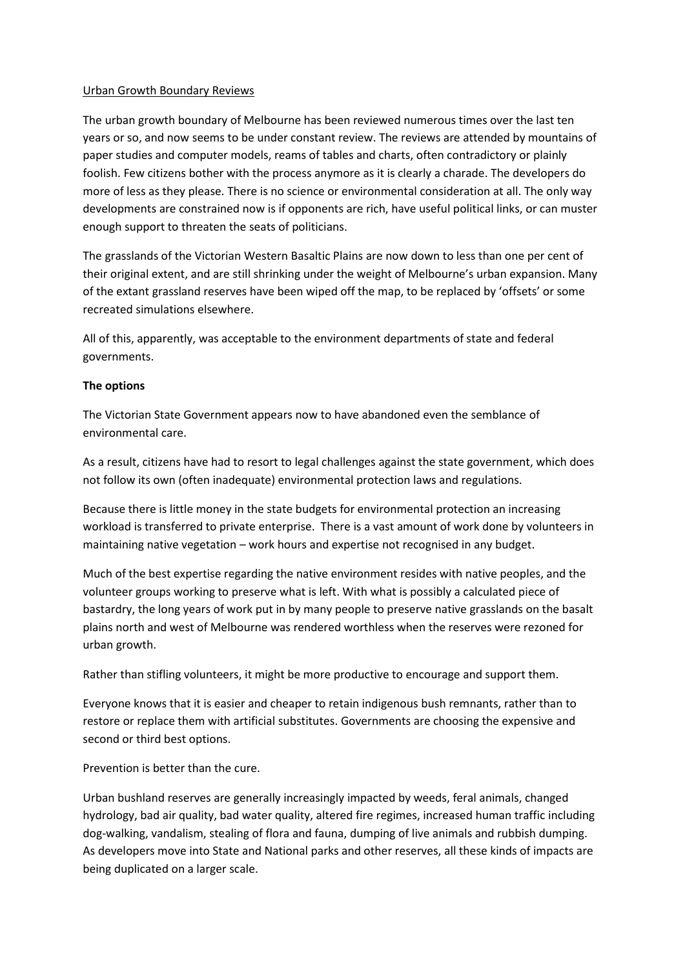## Urban Growth Boundary Reviews

The urban growth boundary of Melbourne has been reviewed numerous times over the last ten years or so, and now seems to be under constant review. The reviews are attended by mountains of paper studies and computer models, reams of tables and charts, often contradictory or plainly foolish. Few citizens bother with the process anymore as it is clearly a charade. The developers do more of less as they please. There is no science or environmental consideration at all. The only way developments are constrained now is if opponents are rich, have useful political links, or can muster enough support to threaten the seats of politicians.

The grasslands of the Victorian Western Basaltic Plains are now down to less than one per cent of their original extent, and are still shrinking under the weight of Melbourne's urban expansion. Many of the extant grassland reserves have been wiped off the map, to be replaced by 'offsets' or some recreated simulations elsewhere.

All of this, apparently, was acceptable to the environment departments of state and federal governments.

## **The options**

The Victorian State Government appears now to have abandoned even the semblance of environmental care.

As a result, citizens have had to resort to legal challenges against the state government, which does not follow its own (often inadequate) environmental protection laws and regulations.

Because there is little money in the state budgets for environmental protection an increasing workload is transferred to private enterprise. There is a vast amount of work done by volunteers in maintaining native vegetation – work hours and expertise not recognised in any budget.

Much of the best expertise regarding the native environment resides with native peoples, and the volunteer groups working to preserve what is left. With what is possibly a calculated piece of bastardry, the long years of work put in by many people to preserve native grasslands on the basalt plains north and west of Melbourne was rendered worthless when the reserves were rezoned for urban growth.

Rather than stifling volunteers, it might be more productive to encourage and support them.

Everyone knows that it is easier and cheaper to retain indigenous bush remnants, rather than to restore or replace them with artificial substitutes. Governments are choosing the expensive and second or third best options.

Prevention is better than the cure.

Urban bushland reserves are generally increasingly impacted by weeds, feral animals, changed hydrology, bad air quality, bad water quality, altered fire regimes, increased human traffic including dog-walking, vandalism, stealing of flora and fauna, dumping of live animals and rubbish dumping. As developers move into State and National parks and other reserves, all these kinds of impacts are being duplicated on a larger scale.